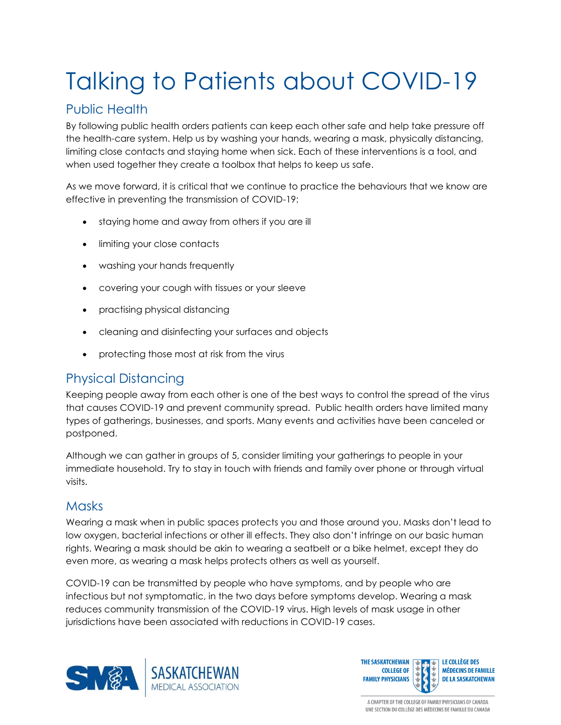# Talking to Patients about COVID-19

## Public Health

By following public health orders patients can keep each other safe and help take pressure off the health-care system. Help us by washing your hands, wearing a mask, physically distancing, limiting close contacts and staying home when sick. Each of these interventions is a tool, and when used together they create a toolbox that helps to keep us safe.

As we move forward, it is critical that we continue to practice the behaviours that we know are effective in preventing the transmission of COVID-19:

- staying home and away from others if you are ill
- limiting your close contacts
- washing your hands frequently
- covering your cough with tissues or your sleeve
- practising physical distancing
- cleaning and disinfecting your surfaces and objects
- protecting those most at risk from the virus

#### Physical Distancing

Keeping people away from each other is one of the best ways to control the spread of the virus that causes COVID-19 and prevent community spread. Public health orders have limited many types of gatherings, businesses, and sports. Many events and activities have been canceled or postponed.

Although we can gather in groups of 5, consider limiting your gatherings to people in your immediate household. Try to stay in touch with friends and family over phone or through virtual visits.

#### **Masks**

Wearing a mask when in public spaces protects you and those around you. Masks don't lead to low oxygen, bacterial infections or other ill effects. They also don't infringe on our basic human rights. Wearing a mask should be akin to wearing a seatbelt or a bike helmet, except they do even more, as wearing a mask helps protects others as well as yourself.

COVID-19 can be transmitted by people who have symptoms, and by people who are infectious but not symptomatic, in the two days before symptoms develop. Wearing a mask reduces community transmission of the COVID-19 virus. High levels of mask usage in other jurisdictions have been associated with reductions in COVID-19 cases.



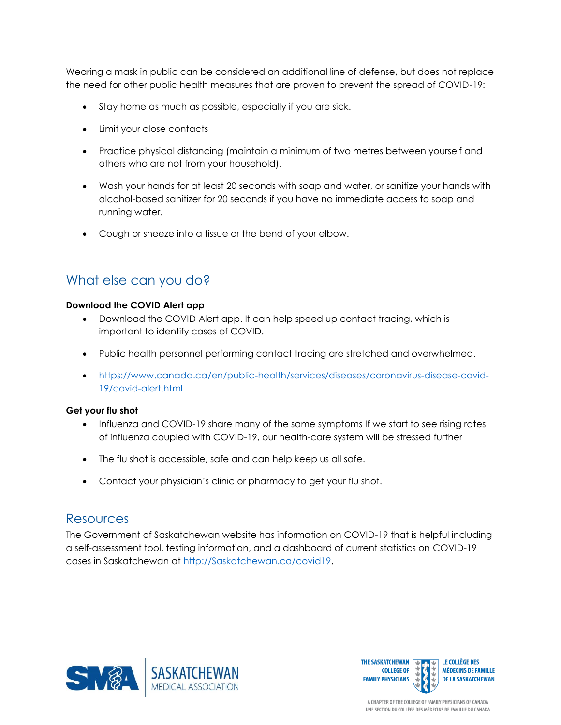Wearing a mask in public can be considered an additional line of defense, but does not replace the need for other public health measures that are proven to prevent the spread of COVID-19:

- Stay home as much as possible, especially if you are sick.
- Limit your close contacts
- Practice physical distancing (maintain a minimum of two metres between yourself and others who are not from your household).
- Wash your hands for at least 20 seconds with soap and water, or sanitize your hands with alcohol-based sanitizer for 20 seconds if you have no immediate access to soap and running water.
- Cough or sneeze into a tissue or the bend of your elbow.

#### What else can you do?

#### **Download the COVID Alert app**

- Download the COVID Alert app. It can help speed up contact tracing, which is important to identify cases of COVID.
- Public health personnel performing contact tracing are stretched and overwhelmed.
- [https://www.canada.ca/en/public-health/services/diseases/coronavirus-disease-covid-](https://www.canada.ca/en/public-health/services/diseases/coronavirus-disease-covid-19/covid-alert.html)[19/covid-alert.html](https://www.canada.ca/en/public-health/services/diseases/coronavirus-disease-covid-19/covid-alert.html)

#### **Get your flu shot**

- Influenza and COVID-19 share many of the same symptoms If we start to see rising rates of influenza coupled with COVID-19, our health-care system will be stressed further
- The flu shot is accessible, safe and can help keep us all safe.
- Contact your physician's clinic or pharmacy to get your flu shot.

#### **Resources**

The Government of Saskatchewan website has information on COVID-19 that is helpful including a self-assessment tool, testing information, and a dashboard of current statistics on COVID-19 cases in Saskatchewan at [http://Saskatchewan.ca/covid19.](http://saskatchewan.ca/covid19)



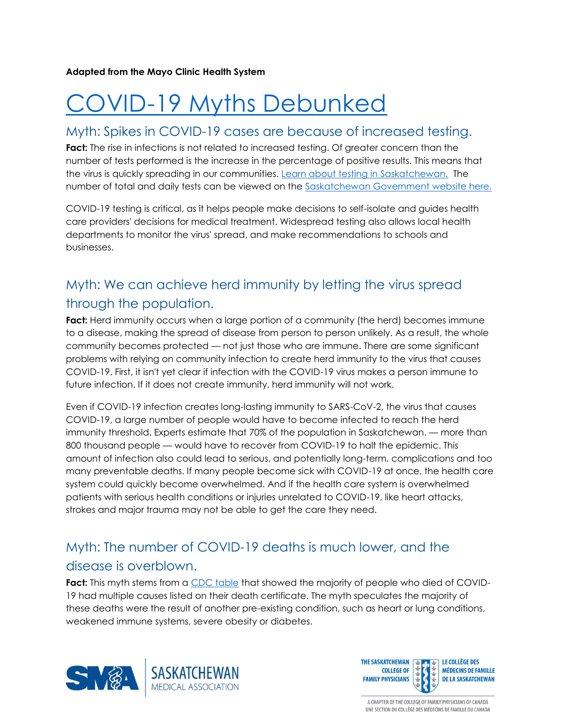**Adapted from the Mayo Clinic Health System**

# [COVID-19 Myths Debunked](https://www.mayoclinichealthsystem.org/hometown-health/featured-topic/11-covid-19-myths-debunked?linkId=103808098&fbclid=IwAR1SlRlEo_hLWn028PU67hnYG_2k-N-do6HwtAj42EUlGAPhnTJ1cEfM01I)

#### Myth: Spikes in COVID-19 cases are because of increased testing.

**Fact:** The rise in infections is not related to increased testing. Of greater concern than the number of tests performed is the increase in the percentage of positive results. This means that the virus is quickly spreading in our communities. [Learn about testing in Saskatchewan.](https://www.saskatchewan.ca/government/health-care-administration-and-provider-resources/treatment-procedures-and-guidelines/emerging-public-health-issues/2019-novel-coronavirus/testing-information) The number of total and daily tests can be viewed on the [Saskatchewan Government website here.](https://dashboard.saskatchewan.ca/health-wellness/covid-19/tests#new-tests-tab)

COVID-19 testing is critical, as it helps people make decisions to self-isolate and guides health care providers' decisions for medical treatment. Widespread testing also allows local health departments to monitor the virus' spread, and make recommendations to schools and businesses.

# Myth: We can achieve herd immunity by letting the virus spread through the population.

**Fact:** Herd immunity occurs when a large portion of a community (the herd) becomes immune to a disease, making the spread of disease from person to person unlikely. As a result, the whole community becomes protected — not just those who are immune. There are some significant problems with relying on community infection to create herd immunity to the virus that causes COVID-19. First, it isn't yet clear if infection with the COVID-19 virus makes a person immune to future infection. If it does not create immunity, herd immunity will not work.

Even if COVID-19 infection creates long-lasting immunity to SARS-CoV-2, the virus that causes COVID-19, a large number of people would have to become infected to reach the herd immunity threshold. Experts estimate that 70% of the population in Saskatchewan. — more than 800 thousand people — would have to recover from COVID-19 to halt the epidemic. This amount of infection also could lead to serious, and potentially long-term, complications and too many preventable deaths. If many people become sick with COVID-19 at once, the health care system could quickly become overwhelmed. And if the health care system is overwhelmed patients with serious health conditions or injuries unrelated to COVID-19, like heart attacks, strokes and major trauma may not be able to get the care they need.

# Myth: The number of COVID-19 deaths is much lower, and the disease is overblown.

**Fact:** This myth stems from a [CDC table](https://www.cdc.gov/nchs/nvss/vsrr/covid_weekly/index.htm?fbclid=IwAR2-muRM3tB3uBdbTrmKwH1NdaBx6PpZo2kxotNwkUXlnbZXCwSRP2OmqsI#Comorbidities) that showed the majority of people who died of COVID-19 had multiple causes listed on their death certificate. The myth speculates the majority of these deaths were the result of another pre-existing condition, such as heart or lung conditions, weakened immune systems, severe obesity or diabetes.



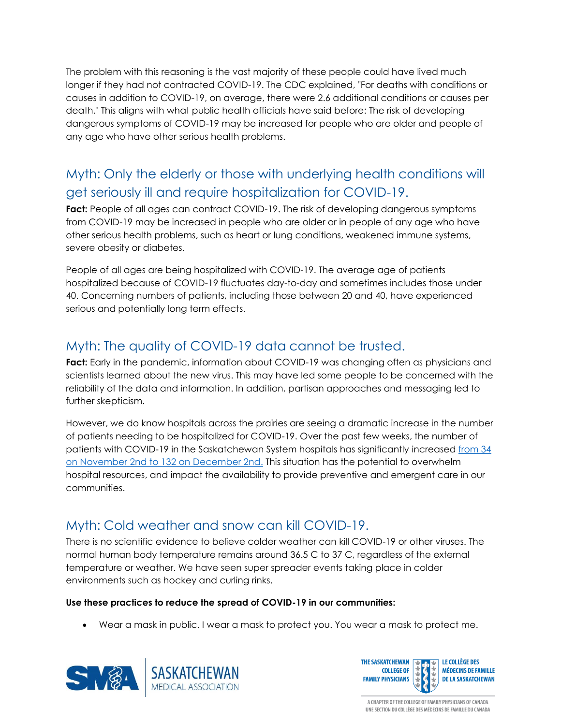The problem with this reasoning is the vast majority of these people could have lived much longer if they had not contracted COVID-19. The CDC explained, "For deaths with conditions or causes in addition to COVID-19, on average, there were 2.6 additional conditions or causes per death." This aligns with what public health officials have said before: The risk of developing dangerous symptoms of COVID-19 may be increased for people who are older and people of any age who have other serious health problems.

# Myth: Only the elderly or those with underlying health conditions will get seriously ill and require hospitalization for COVID-19.

**Fact:** People of all ages can contract COVID-19. The risk of developing dangerous symptoms from COVID-19 may be increased in people who are older or in people of any age who have other serious health problems, such as heart or lung conditions, weakened immune systems, severe obesity or diabetes.

People of all ages are being hospitalized with COVID-19. The average age of patients hospitalized because of COVID-19 fluctuates day-to-day and sometimes includes those under 40. Concerning numbers of patients, including those between 20 and 40, have experienced serious and potentially long term effects.

### Myth: The quality of COVID-19 data cannot be trusted.

Fact: Early in the pandemic, information about COVID-19 was changing often as physicians and scientists learned about the new virus. This may have led some people to be concerned with the reliability of the data and information. In addition, partisan approaches and messaging led to further skepticism.

However, we do know hospitals across the prairies are seeing a dramatic increase in the number of patients needing to be hospitalized for COVID-19. Over the past few weeks, the number of patients with COVID-19 in the Saskatchewan System hospitals has significantly increased [from 34](https://dashboard.saskatchewan.ca/health-wellness/covid-19-cases/hospitalized)  [on November 2nd to 132 on December 2nd.](https://dashboard.saskatchewan.ca/health-wellness/covid-19-cases/hospitalized) This situation has the potential to overwhelm hospital resources, and impact the availability to provide preventive and emergent care in our communities.

## Myth: Cold weather and snow can kill COVID-19.

There is no scientific evidence to believe colder weather can kill COVID-19 or other viruses. The normal human body temperature remains around 36.5 C to 37 C, regardless of the external temperature or weather. We have seen super spreader events taking place in colder environments such as hockey and curling rinks.

#### **Use these practices to reduce the spread of COVID-19 in our communities:**

Wear a mask in public. I wear a mask to protect you. You wear a mask to protect me.



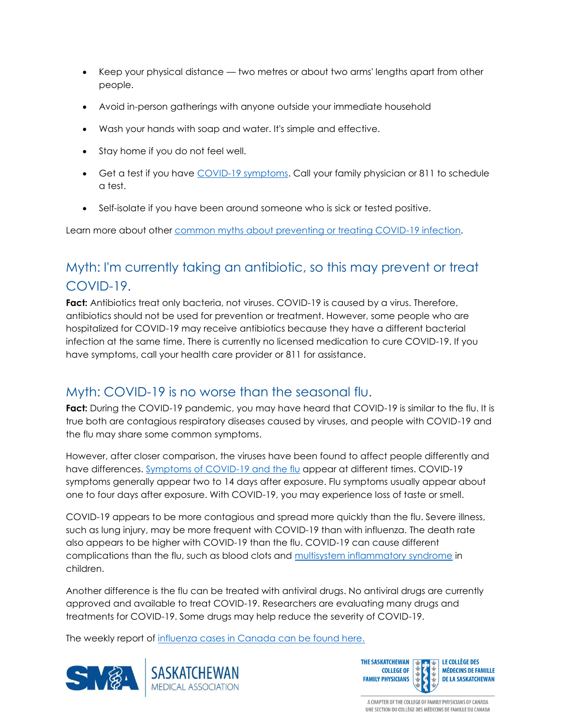- Keep your physical distance two metres or about two arms' lengths apart from other people.
- Avoid in-person gatherings with anyone outside your immediate household
- Wash your hands with soap and water. It's simple and effective.
- Stay home if you do not feel well.
- Get a test if you have [COVID-19 symptoms.](https://www.saskatchewan.ca/government/health-care-administration-and-provider-resources/treatment-procedures-and-guidelines/emerging-public-health-issues/2019-novel-coronavirus/about-covid-19#symptoms) Call your family physician or 811 to schedule a test.
- Self-isolate if you have been around someone who is sick or tested positive.

Learn more about other [common myths about preventing or treating COVID-19 infection.](https://www.mayoclinichealthsystem.org/hometown-health/speaking-of-health/debunking-covid-19-myths)

# Myth: I'm currently taking an antibiotic, so this may prevent or treat COVID-19.

Fact: Antibiotics treat only bacteria, not viruses. COVID-19 is caused by a virus. Therefore, antibiotics should not be used for prevention or treatment. However, some people who are hospitalized for COVID-19 may receive antibiotics because they have a different bacterial infection at the same time. There is currently no licensed medication to cure COVID-19. If you have symptoms, call your health care provider or 811 for assistance.

## Myth: COVID-19 is no worse than the seasonal flu.

Fact: During the COVID-19 pandemic, you may have heard that COVID-19 is similar to the flu. It is true both are contagious respiratory diseases caused by viruses, and people with COVID-19 and the flu may share some common symptoms.

However, after closer comparison, the viruses have been found to affect people differently and have differences. [Symptoms of COVID-19 and the flu](https://www.mayoclinichealthsystem.org/hometown-health/speaking-of-health/coronavirus-versus-flu-similarities-differences) appear at different times. COVID-19 symptoms generally appear two to 14 days after exposure. Flu symptoms usually appear about one to four days after exposure. With COVID-19, you may experience loss of taste or smell.

COVID-19 appears to be more contagious and spread more quickly than the flu. Severe illness, such as lung injury, may be more frequent with COVID-19 than with influenza. The death rate also appears to be higher with COVID-19 than the flu. COVID-19 can cause different complications than the flu, such as blood clots and [multisystem inflammatory syndrome](https://www.mayoclinic.org/diseases-conditions/mis-c-in-kids-covid-19/symptoms-causes/syc-20502550) in children.

Another difference is the flu can be treated with antiviral drugs. No antiviral drugs are currently approved and available to treat COVID-19. Researchers are evaluating many drugs and treatments for COVID-19. Some drugs may help reduce the severity of COVID-19.

The weekly report of [influenza cases in Canada can be found here.](https://www.canada.ca/en/public-health/services/diseases/flu-influenza/influenza-surveillance/weekly-reports-2020-2021-season.html)